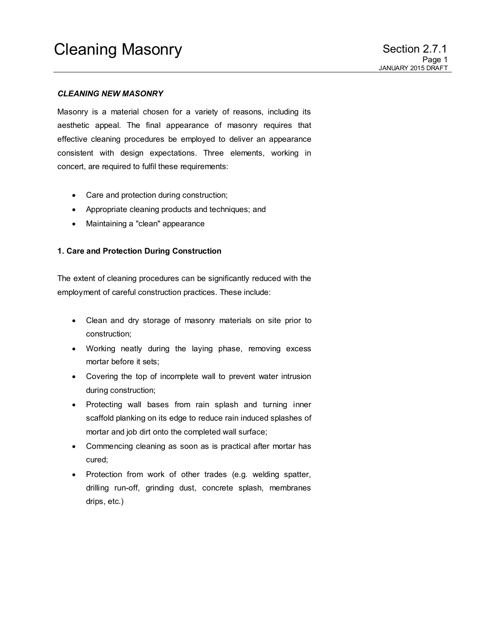## *CLEANING NEW MASONRY*

Masonry is a material chosen for a variety of reasons, including its aesthetic appeal. The final appearance of masonry requires that effective cleaning procedures be employed to deliver an appearance consistent with design expectations. Three elements, working in concert, are required to fulfil these requirements:

- Care and protection during construction;
- Appropriate cleaning products and techniques; and
- Maintaining a "clean" appearance

## **1. Care and Protection During Construction**

The extent of cleaning procedures can be significantly reduced with the employment of careful construction practices. These include:

- Clean and dry storage of masonry materials on site prior to construction;
- Working neatly during the laying phase, removing excess mortar before it sets;
- Covering the top of incomplete wall to prevent water intrusion during construction;
- Protecting wall bases from rain splash and turning inner scaffold planking on its edge to reduce rain induced splashes of mortar and job dirt onto the completed wall surface;
- Commencing cleaning as soon as is practical after mortar has cured;
- Protection from work of other trades (e.g. welding spatter, drilling run-off, grinding dust, concrete splash, membranes drips, etc.)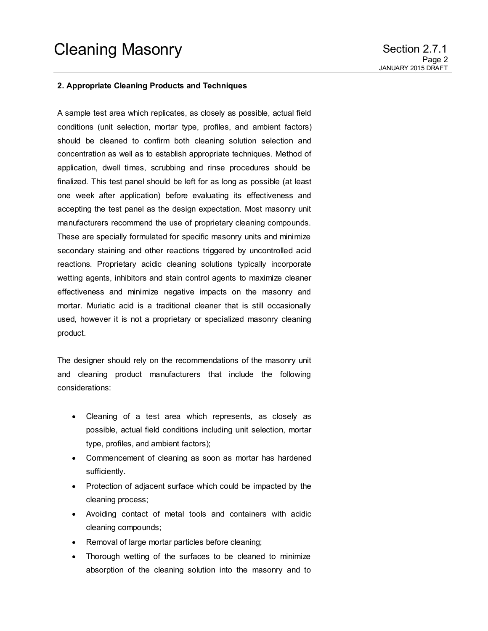## **2. Appropriate Cleaning Products and Techniques**

A sample test area which replicates, as closely as possible, actual field conditions (unit selection, mortar type, profiles, and ambient factors) should be cleaned to confirm both cleaning solution selection and concentration as well as to establish appropriate techniques. Method of application, dwell times, scrubbing and rinse procedures should be finalized. This test panel should be left for as long as possible (at least one week after application) before evaluating its effectiveness and accepting the test panel as the design expectation. Most masonry unit manufacturers recommend the use of proprietary cleaning compounds. These are specially formulated for specific masonry units and minimize secondary staining and other reactions triggered by uncontrolled acid reactions. Proprietary acidic cleaning solutions typically incorporate wetting agents, inhibitors and stain control agents to maximize cleaner effectiveness and minimize negative impacts on the masonry and mortar. Muriatic acid is a traditional cleaner that is still occasionally used, however it is not a proprietary or specialized masonry cleaning product.

The designer should rely on the recommendations of the masonry unit and cleaning product manufacturers that include the following considerations:

- Cleaning of a test area which represents, as closely as possible, actual field conditions including unit selection, mortar type, profiles, and ambient factors);
- Commencement of cleaning as soon as mortar has hardened sufficiently.
- Protection of adjacent surface which could be impacted by the cleaning process;
- Avoiding contact of metal tools and containers with acidic cleaning compounds;
- Removal of large mortar particles before cleaning;
- Thorough wetting of the surfaces to be cleaned to minimize absorption of the cleaning solution into the masonry and to